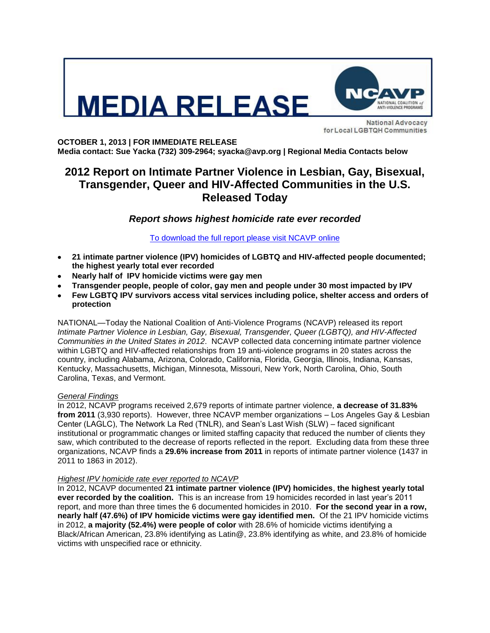



**National Advocacy** for Local LGBTQH Communities

**OCTOBER 1, 2013 | FOR IMMEDIATE RELEASE Media contact: Sue Yacka (732) 309-2964; syacka@avp.org | Regional Media Contacts below**

# **2012 Report on Intimate Partner Violence in Lesbian, Gay, Bisexual, Transgender, Queer and HIV-Affected Communities in the U.S. Released Today**

# *Report shows highest homicide rate ever recorded*

# [To download the full report please visit NCAVP online](http://avp.org/about-avp/national-coalition-of-anti-violence-programs)

- **21 intimate partner violence (IPV) homicides of LGBTQ and HIV-affected people documented; the highest yearly total ever recorded**
- **Nearly half of IPV homicide victims were gay men**
- **Transgender people, people of color, gay men and people under 30 most impacted by IPV**
- **Few LGBTQ IPV survivors access vital services including police, shelter access and orders of protection**

NATIONAL—Today the National Coalition of Anti-Violence Programs (NCAVP) released its report *Intimate Partner Violence in Lesbian, Gay, Bisexual, Transgender, Queer (LGBTQ), and HIV-Affected Communities in the United States in 2012*. NCAVP collected data concerning intimate partner violence within LGBTQ and HIV-affected relationships from 19 anti-violence programs in 20 states across the country, including Alabama, Arizona, Colorado, California, Florida, Georgia, Illinois, Indiana, Kansas, Kentucky, Massachusetts, Michigan, Minnesota, Missouri, New York, North Carolina, Ohio, South Carolina, Texas, and Vermont.

## *General Findings*

In 2012, NCAVP programs received 2,679 reports of intimate partner violence, **a decrease of 31.83% from 2011** (3,930 reports). However, three NCAVP member organizations – Los Angeles Gay & Lesbian Center (LAGLC), The Network La Red (TNLR), and Sean's Last Wish (SLW) – faced significant institutional or programmatic changes or limited staffing capacity that reduced the number of clients they saw, which contributed to the decrease of reports reflected in the report. Excluding data from these three organizations, NCAVP finds a **29.6% increase from 2011** in reports of intimate partner violence (1437 in 2011 to 1863 in 2012).

## *Highest IPV homicide rate ever reported to NCAVP*

In 2012, NCAVP documented **21 intimate partner violence (IPV) homicides**, **the highest yearly total ever recorded by the coalition.** This is an increase from 19 homicides recorded in last year's 2011 report, and more than three times the 6 documented homicides in 2010. **For the second year in a row, nearly half (47.6%) of IPV homicide victims were gay identified men.** Of the 21 IPV homicide victims in 2012, **a majority (52.4%) were people of color** with 28.6% of homicide victims identifying a Black/African American, 23.8% identifying as Latin@, 23.8% identifying as white, and 23.8% of homicide victims with unspecified race or ethnicity.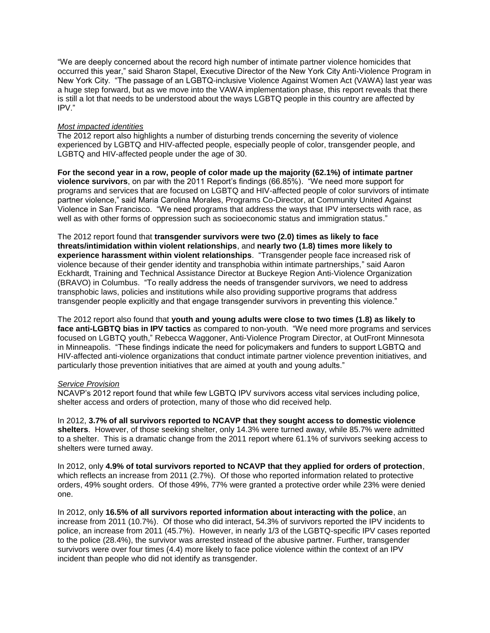"We are deeply concerned about the record high number of intimate partner violence homicides that occurred this year," said Sharon Stapel, Executive Director of the New York City Anti-Violence Program in New York City. "The passage of an LGBTQ-inclusive Violence Against Women Act (VAWA) last year was a huge step forward, but as we move into the VAWA implementation phase, this report reveals that there is still a lot that needs to be understood about the ways LGBTQ people in this country are affected by IPV."

## *Most impacted identities*

The 2012 report also highlights a number of disturbing trends concerning the severity of violence experienced by LGBTQ and HIV-affected people, especially people of color, transgender people, and LGBTQ and HIV-affected people under the age of 30.

**For the second year in a row, people of color made up the majority (62.1%) of intimate partner violence survivors**, on par with the 2011 Report's findings (66.85%). "We need more support for programs and services that are focused on LGBTQ and HIV-affected people of color survivors of intimate partner violence," said Maria Carolina Morales, Programs Co-Director, at Community United Against Violence in San Francisco. "We need programs that address the ways that IPV intersects with race, as well as with other forms of oppression such as socioeconomic status and immigration status."

The 2012 report found that **transgender survivors were two (2.0) times as likely to face threats/intimidation within violent relationships**, and **nearly two (1.8) times more likely to experience harassment within violent relationships**. "Transgender people face increased risk of violence because of their gender identity and transphobia within intimate partnerships," said Aaron Eckhardt, Training and Technical Assistance Director at Buckeye Region Anti-Violence Organization (BRAVO) in Columbus. "To really address the needs of transgender survivors, we need to address transphobic laws, policies and institutions while also providing supportive programs that address transgender people explicitly and that engage transgender survivors in preventing this violence."

The 2012 report also found that **youth and young adults were close to two times (1.8) as likely to face anti-LGBTQ bias in IPV tactics** as compared to non-youth. "We need more programs and services focused on LGBTQ youth," Rebecca Waggoner, Anti-Violence Program Director, at OutFront Minnesota in Minneapolis. "These findings indicate the need for policymakers and funders to support LGBTQ and HIV-affected anti-violence organizations that conduct intimate partner violence prevention initiatives, and particularly those prevention initiatives that are aimed at youth and young adults."

#### *Service Provision*

NCAVP's 2012 report found that while few LGBTQ IPV survivors access vital services including police, shelter access and orders of protection, many of those who did received help.

In 2012, **3.7% of all survivors reported to NCAVP that they sought access to domestic violence shelters**. However, of those seeking shelter, only 14.3% were turned away, while 85.7% were admitted to a shelter. This is a dramatic change from the 2011 report where 61.1% of survivors seeking access to shelters were turned away.

In 2012, only **4.9% of total survivors reported to NCAVP that they applied for orders of protection**, which reflects an increase from 2011 (2.7%). Of those who reported information related to protective orders, 49% sought orders. Of those 49%, 77% were granted a protective order while 23% were denied one.

In 2012, only **16.5% of all survivors reported information about interacting with the police**, an increase from 2011 (10.7%). Of those who did interact, 54.3% of survivors reported the IPV incidents to police, an increase from 2011 (45.7%). However, in nearly 1/3 of the LGBTQ-specific IPV cases reported to the police (28.4%), the survivor was arrested instead of the abusive partner. Further, transgender survivors were over four times (4.4) more likely to face police violence within the context of an IPV incident than people who did not identify as transgender.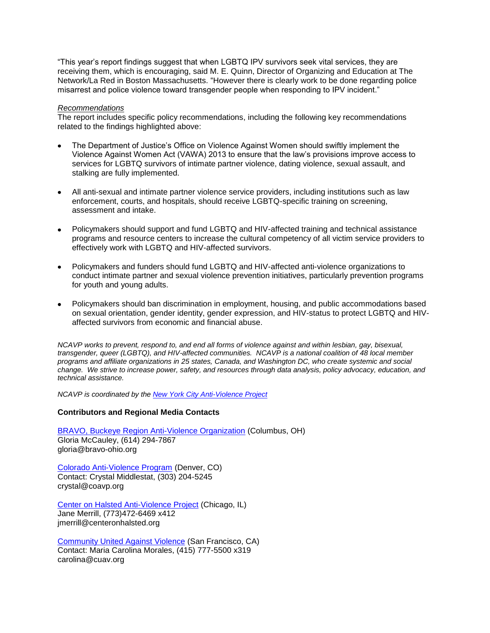"This year's report findings suggest that when LGBTQ IPV survivors seek vital services, they are receiving them, which is encouraging, said M. E. Quinn, Director of Organizing and Education at The Network/La Red in Boston Massachusetts. "However there is clearly work to be done regarding police misarrest and police violence toward transgender people when responding to IPV incident."

#### *Recommendations*

The report includes specific policy recommendations, including the following key recommendations related to the findings highlighted above:

- The Department of Justice's Office on Violence Against Women should swiftly implement the Violence Against Women Act (VAWA) 2013 to ensure that the law's provisions improve access to services for LGBTQ survivors of intimate partner violence, dating violence, sexual assault, and stalking are fully implemented.
- All anti-sexual and intimate partner violence service providers, including institutions such as law enforcement, courts, and hospitals, should receive LGBTQ-specific training on screening, assessment and intake.
- Policymakers should support and fund LGBTQ and HIV-affected training and technical assistance programs and resource centers to increase the cultural competency of all victim service providers to effectively work with LGBTQ and HIV-affected survivors.
- Policymakers and funders should fund LGBTQ and HIV-affected anti-violence organizations to conduct intimate partner and sexual violence prevention initiatives, particularly prevention programs for youth and young adults.
- Policymakers should ban discrimination in employment, housing, and public accommodations based on sexual orientation, gender identity, gender expression, and HIV-status to protect LGBTQ and HIVaffected survivors from economic and financial abuse.

*NCAVP works to prevent, respond to, and end all forms of violence against and within lesbian, gay, bisexual, transgender, queer (LGBTQ), and HIV-affected communities. NCAVP is a national coalition of 48 local member programs and affiliate organizations in 25 states, Canada, and Washington DC, who create systemic and social change. We strive to increase power, safety, and resources through data analysis, policy advocacy, education, and technical assistance.* 

*NCAVP is coordinated by the [New York City Anti-Violence Project](http://avp.org/)*

#### **Contributors and Regional Media Contacts**

[BRAVO, Buckeye Region Anti-Violence Organization](http://www.bravo-ohio.org/) (Columbus, OH) Gloria McCauley, (614) 294-7867 gloria@bravo-ohio.org

[Colorado Anti-Violence Program](http://www.coavp.org/) (Denver, CO) Contact: Crystal Middlestat, (303) 204-5245 crystal@coavp.org

[Center on Halsted Anti-Violence Project](http://www.centeronhalsted.org/cohavp.html) (Chicago, IL) Jane Merrill, (773)472-6469 x412 jmerrill@centeronhalsted.org

[Community United Against Violence](http://www.cuav.org/) (San Francisco, CA) Contact: Maria Carolina Morales, (415) 777-5500 x319 carolina@cuav.org